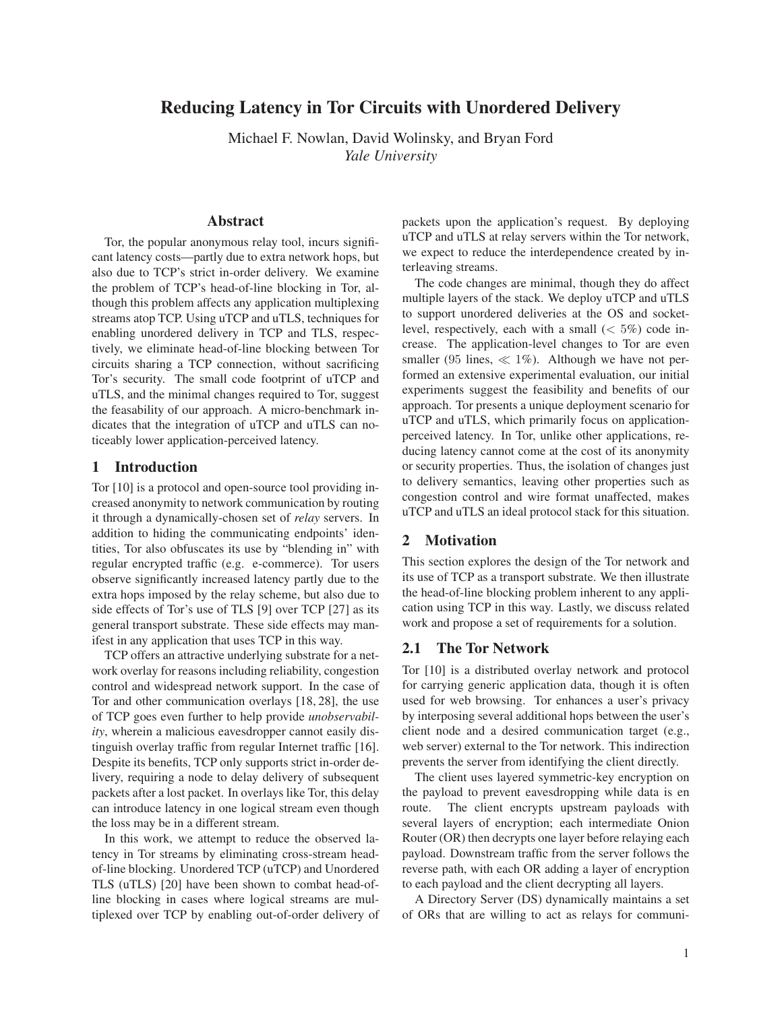# Reducing Latency in Tor Circuits with Unordered Delivery

Michael F. Nowlan, David Wolinsky, and Bryan Ford *Yale University*

## Abstract

Tor, the popular anonymous relay tool, incurs significant latency costs—partly due to extra network hops, but also due to TCP's strict in-order delivery. We examine the problem of TCP's head-of-line blocking in Tor, although this problem affects any application multiplexing streams atop TCP. Using uTCP and uTLS, techniques for enabling unordered delivery in TCP and TLS, respectively, we eliminate head-of-line blocking between Tor circuits sharing a TCP connection, without sacrificing Tor's security. The small code footprint of uTCP and uTLS, and the minimal changes required to Tor, suggest the feasability of our approach. A micro-benchmark indicates that the integration of uTCP and uTLS can noticeably lower application-perceived latency.

## 1 Introduction

Tor [10] is a protocol and open-source tool providing increased anonymity to network communication by routing it through a dynamically-chosen set of *relay* servers. In addition to hiding the communicating endpoints' identities, Tor also obfuscates its use by "blending in" with regular encrypted traffic (e.g. e-commerce). Tor users observe significantly increased latency partly due to the extra hops imposed by the relay scheme, but also due to side effects of Tor's use of TLS [9] over TCP [27] as its general transport substrate. These side effects may manifest in any application that uses TCP in this way.

TCP offers an attractive underlying substrate for a network overlay for reasons including reliability, congestion control and widespread network support. In the case of Tor and other communication overlays [18, 28], the use of TCP goes even further to help provide *unobservability*, wherein a malicious eavesdropper cannot easily distinguish overlay traffic from regular Internet traffic [16]. Despite its benefits, TCP only supports strict in-order delivery, requiring a node to delay delivery of subsequent packets after a lost packet. In overlays like Tor, this delay can introduce latency in one logical stream even though the loss may be in a different stream.

In this work, we attempt to reduce the observed latency in Tor streams by eliminating cross-stream headof-line blocking. Unordered TCP (uTCP) and Unordered TLS (uTLS) [20] have been shown to combat head-ofline blocking in cases where logical streams are multiplexed over TCP by enabling out-of-order delivery of packets upon the application's request. By deploying uTCP and uTLS at relay servers within the Tor network, we expect to reduce the interdependence created by interleaving streams.

The code changes are minimal, though they do affect multiple layers of the stack. We deploy uTCP and uTLS to support unordered deliveries at the OS and socketlevel, respectively, each with a small  $(< 5\%)$  code increase. The application-level changes to Tor are even smaller (95 lines,  $\ll 1\%$ ). Although we have not performed an extensive experimental evaluation, our initial experiments suggest the feasibility and benefits of our approach. Tor presents a unique deployment scenario for uTCP and uTLS, which primarily focus on applicationperceived latency. In Tor, unlike other applications, reducing latency cannot come at the cost of its anonymity or security properties. Thus, the isolation of changes just to delivery semantics, leaving other properties such as congestion control and wire format unaffected, makes uTCP and uTLS an ideal protocol stack for this situation.

## 2 Motivation

This section explores the design of the Tor network and its use of TCP as a transport substrate. We then illustrate the head-of-line blocking problem inherent to any application using TCP in this way. Lastly, we discuss related work and propose a set of requirements for a solution.

#### 2.1 The Tor Network

Tor [10] is a distributed overlay network and protocol for carrying generic application data, though it is often used for web browsing. Tor enhances a user's privacy by interposing several additional hops between the user's client node and a desired communication target (e.g., web server) external to the Tor network. This indirection prevents the server from identifying the client directly.

The client uses layered symmetric-key encryption on the payload to prevent eavesdropping while data is en route. The client encrypts upstream payloads with several layers of encryption; each intermediate Onion Router (OR) then decrypts one layer before relaying each payload. Downstream traffic from the server follows the reverse path, with each OR adding a layer of encryption to each payload and the client decrypting all layers.

A Directory Server (DS) dynamically maintains a set of ORs that are willing to act as relays for communi-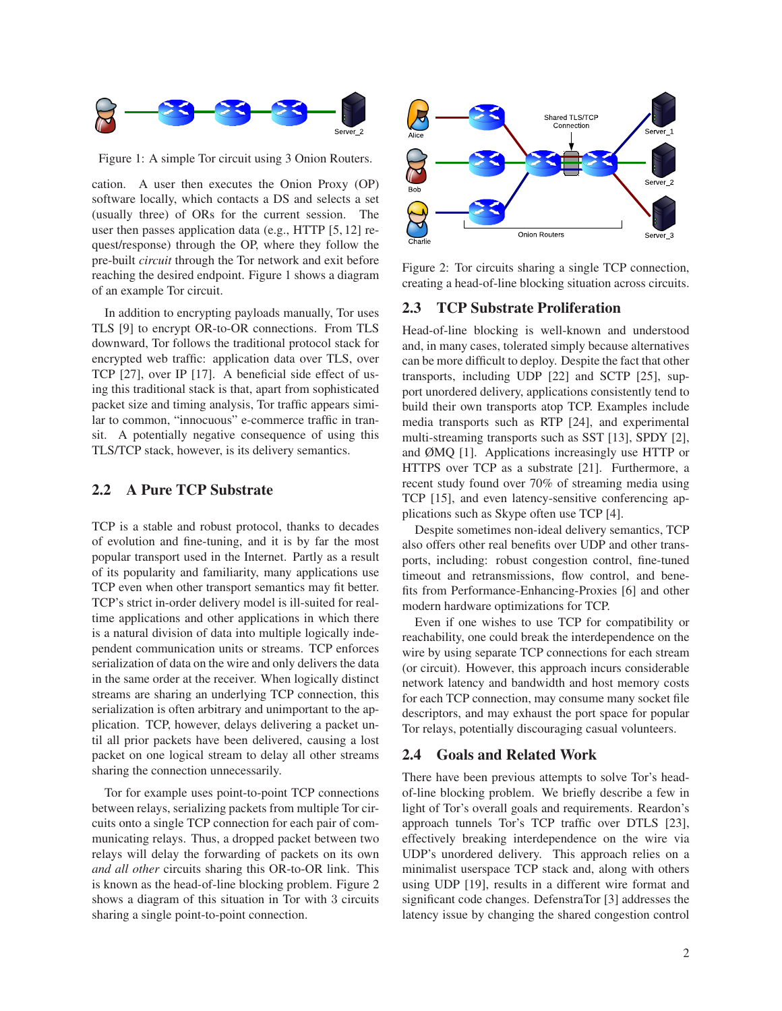

Figure 1: A simple Tor circuit using 3 Onion Routers.

cation. A user then executes the Onion Proxy (OP) software locally, which contacts a DS and selects a set (usually three) of ORs for the current session. The user then passes application data (e.g., HTTP [5, 12] request/response) through the OP, where they follow the pre-built *circuit* through the Tor network and exit before reaching the desired endpoint. Figure 1 shows a diagram of an example Tor circuit.

In addition to encrypting payloads manually, Tor uses TLS [9] to encrypt OR-to-OR connections. From TLS downward, Tor follows the traditional protocol stack for encrypted web traffic: application data over TLS, over TCP [27], over IP [17]. A beneficial side effect of using this traditional stack is that, apart from sophisticated packet size and timing analysis, Tor traffic appears similar to common, "innocuous" e-commerce traffic in transit. A potentially negative consequence of using this TLS/TCP stack, however, is its delivery semantics.

#### 2.2 A Pure TCP Substrate

TCP is a stable and robust protocol, thanks to decades of evolution and fine-tuning, and it is by far the most popular transport used in the Internet. Partly as a result of its popularity and familiarity, many applications use TCP even when other transport semantics may fit better. TCP's strict in-order delivery model is ill-suited for realtime applications and other applications in which there is a natural division of data into multiple logically independent communication units or streams. TCP enforces serialization of data on the wire and only delivers the data in the same order at the receiver. When logically distinct streams are sharing an underlying TCP connection, this serialization is often arbitrary and unimportant to the application. TCP, however, delays delivering a packet until all prior packets have been delivered, causing a lost packet on one logical stream to delay all other streams sharing the connection unnecessarily.

Tor for example uses point-to-point TCP connections between relays, serializing packets from multiple Tor circuits onto a single TCP connection for each pair of communicating relays. Thus, a dropped packet between two relays will delay the forwarding of packets on its own *and all other* circuits sharing this OR-to-OR link. This is known as the head-of-line blocking problem. Figure 2 shows a diagram of this situation in Tor with 3 circuits sharing a single point-to-point connection.



Figure 2: Tor circuits sharing a single TCP connection, creating a head-of-line blocking situation across circuits.

# 2.3 TCP Substrate Proliferation

Head-of-line blocking is well-known and understood and, in many cases, tolerated simply because alternatives can be more difficult to deploy. Despite the fact that other transports, including UDP [22] and SCTP [25], support unordered delivery, applications consistently tend to build their own transports atop TCP. Examples include media transports such as RTP [24], and experimental multi-streaming transports such as SST [13], SPDY [2], and ØMQ [1]. Applications increasingly use HTTP or HTTPS over TCP as a substrate [21]. Furthermore, a recent study found over 70% of streaming media using TCP [15], and even latency-sensitive conferencing applications such as Skype often use TCP [4].

Despite sometimes non-ideal delivery semantics, TCP also offers other real benefits over UDP and other transports, including: robust congestion control, fine-tuned timeout and retransmissions, flow control, and benefits from Performance-Enhancing-Proxies [6] and other modern hardware optimizations for TCP.

Even if one wishes to use TCP for compatibility or reachability, one could break the interdependence on the wire by using separate TCP connections for each stream (or circuit). However, this approach incurs considerable network latency and bandwidth and host memory costs for each TCP connection, may consume many socket file descriptors, and may exhaust the port space for popular Tor relays, potentially discouraging casual volunteers.

#### 2.4 Goals and Related Work

There have been previous attempts to solve Tor's headof-line blocking problem. We briefly describe a few in light of Tor's overall goals and requirements. Reardon's approach tunnels Tor's TCP traffic over DTLS [23], effectively breaking interdependence on the wire via UDP's unordered delivery. This approach relies on a minimalist userspace TCP stack and, along with others using UDP [19], results in a different wire format and significant code changes. DefenstraTor [3] addresses the latency issue by changing the shared congestion control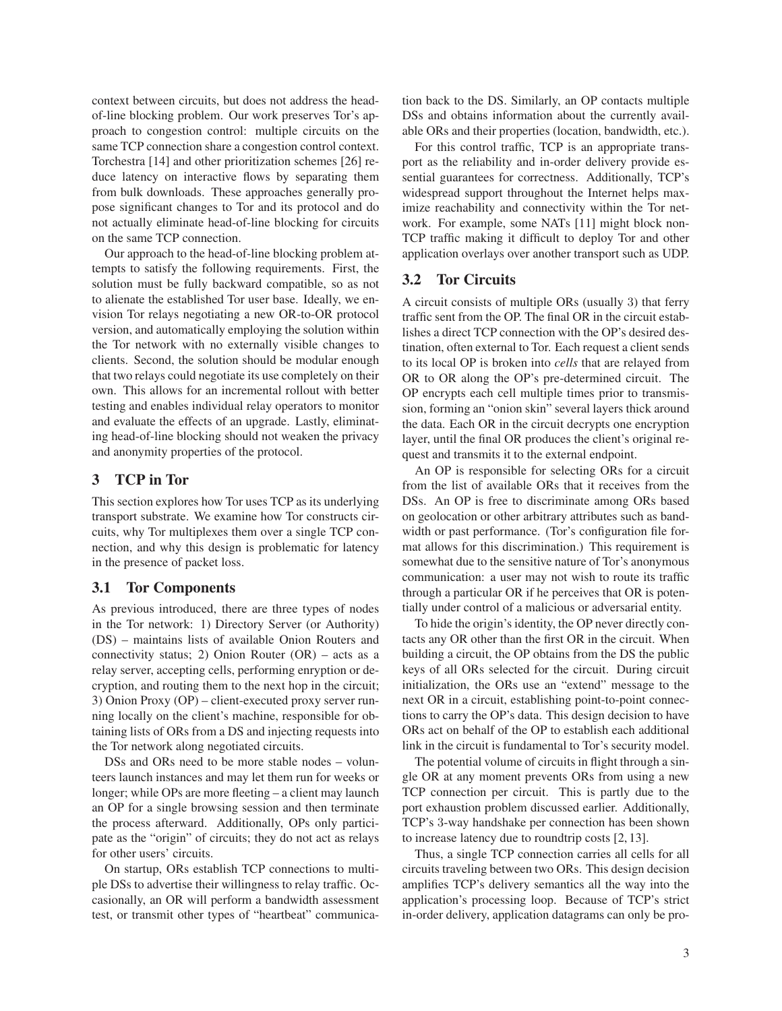context between circuits, but does not address the headof-line blocking problem. Our work preserves Tor's approach to congestion control: multiple circuits on the same TCP connection share a congestion control context. Torchestra [14] and other prioritization schemes [26] reduce latency on interactive flows by separating them from bulk downloads. These approaches generally propose significant changes to Tor and its protocol and do not actually eliminate head-of-line blocking for circuits on the same TCP connection.

Our approach to the head-of-line blocking problem attempts to satisfy the following requirements. First, the solution must be fully backward compatible, so as not to alienate the established Tor user base. Ideally, we envision Tor relays negotiating a new OR-to-OR protocol version, and automatically employing the solution within the Tor network with no externally visible changes to clients. Second, the solution should be modular enough that two relays could negotiate its use completely on their own. This allows for an incremental rollout with better testing and enables individual relay operators to monitor and evaluate the effects of an upgrade. Lastly, eliminating head-of-line blocking should not weaken the privacy and anonymity properties of the protocol.

## 3 TCP in Tor

This section explores how Tor uses TCP as its underlying transport substrate. We examine how Tor constructs circuits, why Tor multiplexes them over a single TCP connection, and why this design is problematic for latency in the presence of packet loss.

## 3.1 Tor Components

As previous introduced, there are three types of nodes in the Tor network: 1) Directory Server (or Authority) (DS) – maintains lists of available Onion Routers and connectivity status; 2) Onion Router (OR) – acts as a relay server, accepting cells, performing enryption or decryption, and routing them to the next hop in the circuit; 3) Onion Proxy (OP) – client-executed proxy server running locally on the client's machine, responsible for obtaining lists of ORs from a DS and injecting requests into the Tor network along negotiated circuits.

DSs and ORs need to be more stable nodes – volunteers launch instances and may let them run for weeks or longer; while OPs are more fleeting – a client may launch an OP for a single browsing session and then terminate the process afterward. Additionally, OPs only participate as the "origin" of circuits; they do not act as relays for other users' circuits.

On startup, ORs establish TCP connections to multiple DSs to advertise their willingness to relay traffic. Occasionally, an OR will perform a bandwidth assessment test, or transmit other types of "heartbeat" communication back to the DS. Similarly, an OP contacts multiple DSs and obtains information about the currently available ORs and their properties (location, bandwidth, etc.).

For this control traffic, TCP is an appropriate transport as the reliability and in-order delivery provide essential guarantees for correctness. Additionally, TCP's widespread support throughout the Internet helps maximize reachability and connectivity within the Tor network. For example, some NATs [11] might block non-TCP traffic making it difficult to deploy Tor and other application overlays over another transport such as UDP.

## 3.2 Tor Circuits

A circuit consists of multiple ORs (usually 3) that ferry traffic sent from the OP. The final OR in the circuit establishes a direct TCP connection with the OP's desired destination, often external to Tor. Each request a client sends to its local OP is broken into *cells* that are relayed from OR to OR along the OP's pre-determined circuit. The OP encrypts each cell multiple times prior to transmission, forming an "onion skin" several layers thick around the data. Each OR in the circuit decrypts one encryption layer, until the final OR produces the client's original request and transmits it to the external endpoint.

An OP is responsible for selecting ORs for a circuit from the list of available ORs that it receives from the DSs. An OP is free to discriminate among ORs based on geolocation or other arbitrary attributes such as bandwidth or past performance. (Tor's configuration file format allows for this discrimination.) This requirement is somewhat due to the sensitive nature of Tor's anonymous communication: a user may not wish to route its traffic through a particular OR if he perceives that OR is potentially under control of a malicious or adversarial entity.

To hide the origin's identity, the OP never directly contacts any OR other than the first OR in the circuit. When building a circuit, the OP obtains from the DS the public keys of all ORs selected for the circuit. During circuit initialization, the ORs use an "extend" message to the next OR in a circuit, establishing point-to-point connections to carry the OP's data. This design decision to have ORs act on behalf of the OP to establish each additional link in the circuit is fundamental to Tor's security model.

The potential volume of circuits in flight through a single OR at any moment prevents ORs from using a new TCP connection per circuit. This is partly due to the port exhaustion problem discussed earlier. Additionally, TCP's 3-way handshake per connection has been shown to increase latency due to roundtrip costs [2, 13].

Thus, a single TCP connection carries all cells for all circuits traveling between two ORs. This design decision amplifies TCP's delivery semantics all the way into the application's processing loop. Because of TCP's strict in-order delivery, application datagrams can only be pro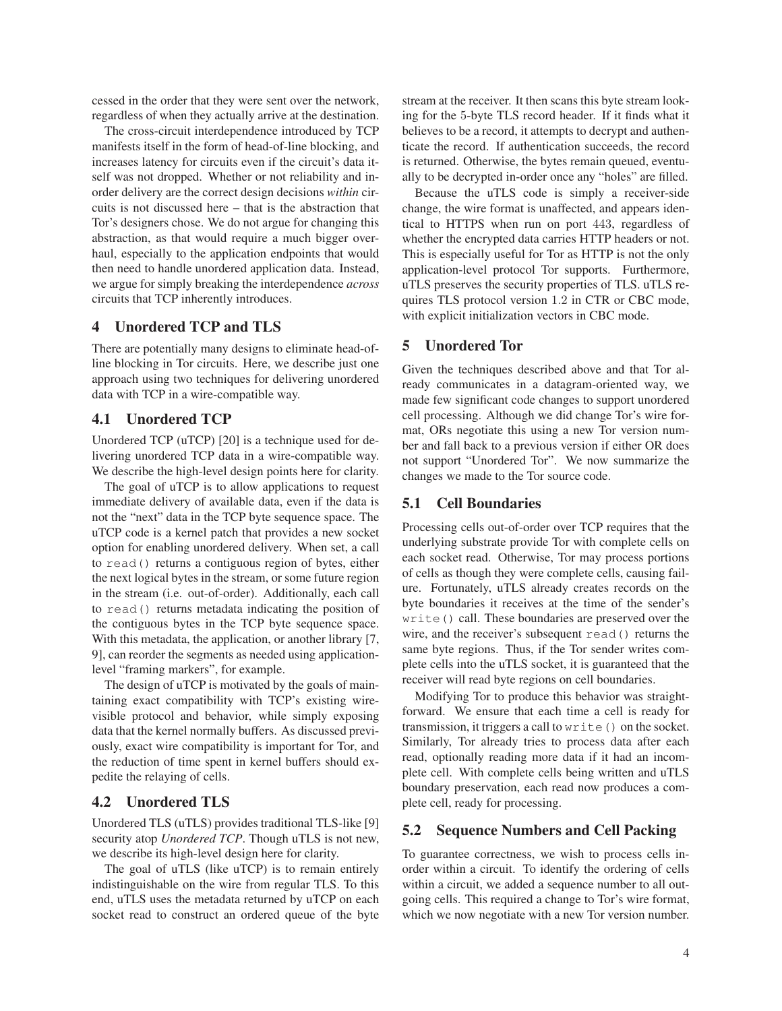cessed in the order that they were sent over the network, regardless of when they actually arrive at the destination.

The cross-circuit interdependence introduced by TCP manifests itself in the form of head-of-line blocking, and increases latency for circuits even if the circuit's data itself was not dropped. Whether or not reliability and inorder delivery are the correct design decisions *within* circuits is not discussed here – that is the abstraction that Tor's designers chose. We do not argue for changing this abstraction, as that would require a much bigger overhaul, especially to the application endpoints that would then need to handle unordered application data. Instead, we argue for simply breaking the interdependence *across* circuits that TCP inherently introduces.

## 4 Unordered TCP and TLS

There are potentially many designs to eliminate head-ofline blocking in Tor circuits. Here, we describe just one approach using two techniques for delivering unordered data with TCP in a wire-compatible way.

#### 4.1 Unordered TCP

Unordered TCP (uTCP) [20] is a technique used for delivering unordered TCP data in a wire-compatible way. We describe the high-level design points here for clarity.

The goal of uTCP is to allow applications to request immediate delivery of available data, even if the data is not the "next" data in the TCP byte sequence space. The uTCP code is a kernel patch that provides a new socket option for enabling unordered delivery. When set, a call to read() returns a contiguous region of bytes, either the next logical bytes in the stream, or some future region in the stream (i.e. out-of-order). Additionally, each call to read() returns metadata indicating the position of the contiguous bytes in the TCP byte sequence space. With this metadata, the application, or another library [7, 9], can reorder the segments as needed using applicationlevel "framing markers", for example.

The design of uTCP is motivated by the goals of maintaining exact compatibility with TCP's existing wirevisible protocol and behavior, while simply exposing data that the kernel normally buffers. As discussed previously, exact wire compatibility is important for Tor, and the reduction of time spent in kernel buffers should expedite the relaying of cells.

# 4.2 Unordered TLS

Unordered TLS (uTLS) provides traditional TLS-like [9] security atop *Unordered TCP*. Though uTLS is not new, we describe its high-level design here for clarity.

The goal of uTLS (like uTCP) is to remain entirely indistinguishable on the wire from regular TLS. To this end, uTLS uses the metadata returned by uTCP on each socket read to construct an ordered queue of the byte stream at the receiver. It then scans this byte stream looking for the 5-byte TLS record header. If it finds what it believes to be a record, it attempts to decrypt and authenticate the record. If authentication succeeds, the record is returned. Otherwise, the bytes remain queued, eventually to be decrypted in-order once any "holes" are filled.

Because the uTLS code is simply a receiver-side change, the wire format is unaffected, and appears identical to HTTPS when run on port 443, regardless of whether the encrypted data carries HTTP headers or not. This is especially useful for Tor as HTTP is not the only application-level protocol Tor supports. Furthermore, uTLS preserves the security properties of TLS. uTLS requires TLS protocol version 1.2 in CTR or CBC mode, with explicit initialization vectors in CBC mode.

## 5 Unordered Tor

Given the techniques described above and that Tor already communicates in a datagram-oriented way, we made few significant code changes to support unordered cell processing. Although we did change Tor's wire format, ORs negotiate this using a new Tor version number and fall back to a previous version if either OR does not support "Unordered Tor". We now summarize the changes we made to the Tor source code.

#### 5.1 Cell Boundaries

Processing cells out-of-order over TCP requires that the underlying substrate provide Tor with complete cells on each socket read. Otherwise, Tor may process portions of cells as though they were complete cells, causing failure. Fortunately, uTLS already creates records on the byte boundaries it receives at the time of the sender's write() call. These boundaries are preserved over the wire, and the receiver's subsequent read() returns the same byte regions. Thus, if the Tor sender writes complete cells into the uTLS socket, it is guaranteed that the receiver will read byte regions on cell boundaries.

Modifying Tor to produce this behavior was straightforward. We ensure that each time a cell is ready for transmission, it triggers a call to write() on the socket. Similarly, Tor already tries to process data after each read, optionally reading more data if it had an incomplete cell. With complete cells being written and uTLS boundary preservation, each read now produces a complete cell, ready for processing.

## 5.2 Sequence Numbers and Cell Packing

To guarantee correctness, we wish to process cells inorder within a circuit. To identify the ordering of cells within a circuit, we added a sequence number to all outgoing cells. This required a change to Tor's wire format, which we now negotiate with a new Tor version number.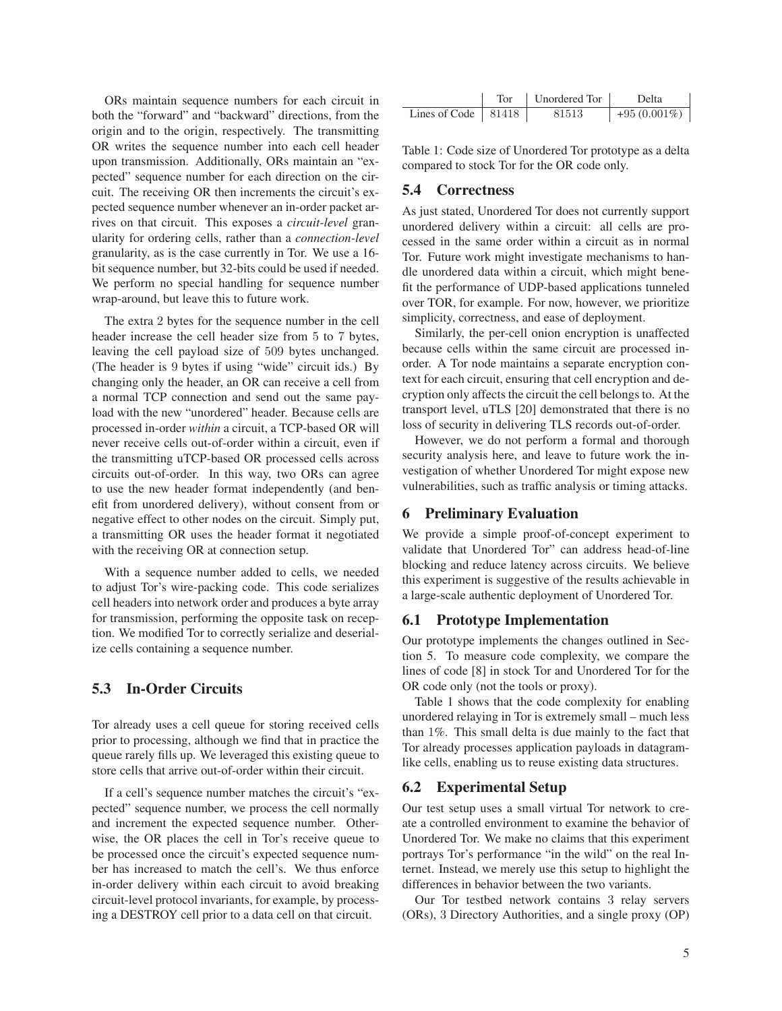ORs maintain sequence numbers for each circuit in both the "forward" and "backward" directions, from the origin and to the origin, respectively. The transmitting OR writes the sequence number into each cell header upon transmission. Additionally, ORs maintain an "expected" sequence number for each direction on the circuit. The receiving OR then increments the circuit's expected sequence number whenever an in-order packet arrives on that circuit. This exposes a *circuit-level* granularity for ordering cells, rather than a *connection-level* granularity, as is the case currently in Tor. We use a 16 bit sequence number, but 32-bits could be used if needed. We perform no special handling for sequence number wrap-around, but leave this to future work.

The extra 2 bytes for the sequence number in the cell header increase the cell header size from 5 to 7 bytes, leaving the cell payload size of 509 bytes unchanged. (The header is 9 bytes if using "wide" circuit ids.) By changing only the header, an OR can receive a cell from a normal TCP connection and send out the same payload with the new "unordered" header. Because cells are processed in-order *within* a circuit, a TCP-based OR will never receive cells out-of-order within a circuit, even if the transmitting uTCP-based OR processed cells across circuits out-of-order. In this way, two ORs can agree to use the new header format independently (and benefit from unordered delivery), without consent from or negative effect to other nodes on the circuit. Simply put, a transmitting OR uses the header format it negotiated with the receiving OR at connection setup.

With a sequence number added to cells, we needed to adjust Tor's wire-packing code. This code serializes cell headers into network order and produces a byte array for transmission, performing the opposite task on reception. We modified Tor to correctly serialize and deserialize cells containing a sequence number.

# 5.3 In-Order Circuits

Tor already uses a cell queue for storing received cells prior to processing, although we find that in practice the queue rarely fills up. We leveraged this existing queue to store cells that arrive out-of-order within their circuit.

If a cell's sequence number matches the circuit's "expected" sequence number, we process the cell normally and increment the expected sequence number. Otherwise, the OR places the cell in Tor's receive queue to be processed once the circuit's expected sequence number has increased to match the cell's. We thus enforce in-order delivery within each circuit to avoid breaking circuit-level protocol invariants, for example, by processing a DESTROY cell prior to a data cell on that circuit.

|                             | Tor | Unordered Tor | Delta          |
|-----------------------------|-----|---------------|----------------|
| Lines of Code $\vert$ 81418 |     | 81513         | $+95(0.001\%)$ |

Table 1: Code size of Unordered Tor prototype as a delta compared to stock Tor for the OR code only.

#### 5.4 Correctness

As just stated, Unordered Tor does not currently support unordered delivery within a circuit: all cells are processed in the same order within a circuit as in normal Tor. Future work might investigate mechanisms to handle unordered data within a circuit, which might benefit the performance of UDP-based applications tunneled over TOR, for example. For now, however, we prioritize simplicity, correctness, and ease of deployment.

Similarly, the per-cell onion encryption is unaffected because cells within the same circuit are processed inorder. A Tor node maintains a separate encryption context for each circuit, ensuring that cell encryption and decryption only affects the circuit the cell belongs to. At the transport level, uTLS [20] demonstrated that there is no loss of security in delivering TLS records out-of-order.

However, we do not perform a formal and thorough security analysis here, and leave to future work the investigation of whether Unordered Tor might expose new vulnerabilities, such as traffic analysis or timing attacks.

#### 6 Preliminary Evaluation

We provide a simple proof-of-concept experiment to validate that Unordered Tor" can address head-of-line blocking and reduce latency across circuits. We believe this experiment is suggestive of the results achievable in a large-scale authentic deployment of Unordered Tor.

## 6.1 Prototype Implementation

Our prototype implements the changes outlined in Section 5. To measure code complexity, we compare the lines of code [8] in stock Tor and Unordered Tor for the OR code only (not the tools or proxy).

Table 1 shows that the code complexity for enabling unordered relaying in Tor is extremely small – much less than 1%. This small delta is due mainly to the fact that Tor already processes application payloads in datagramlike cells, enabling us to reuse existing data structures.

# 6.2 Experimental Setup

Our test setup uses a small virtual Tor network to create a controlled environment to examine the behavior of Unordered Tor. We make no claims that this experiment portrays Tor's performance "in the wild" on the real Internet. Instead, we merely use this setup to highlight the differences in behavior between the two variants.

Our Tor testbed network contains 3 relay servers (ORs), 3 Directory Authorities, and a single proxy (OP)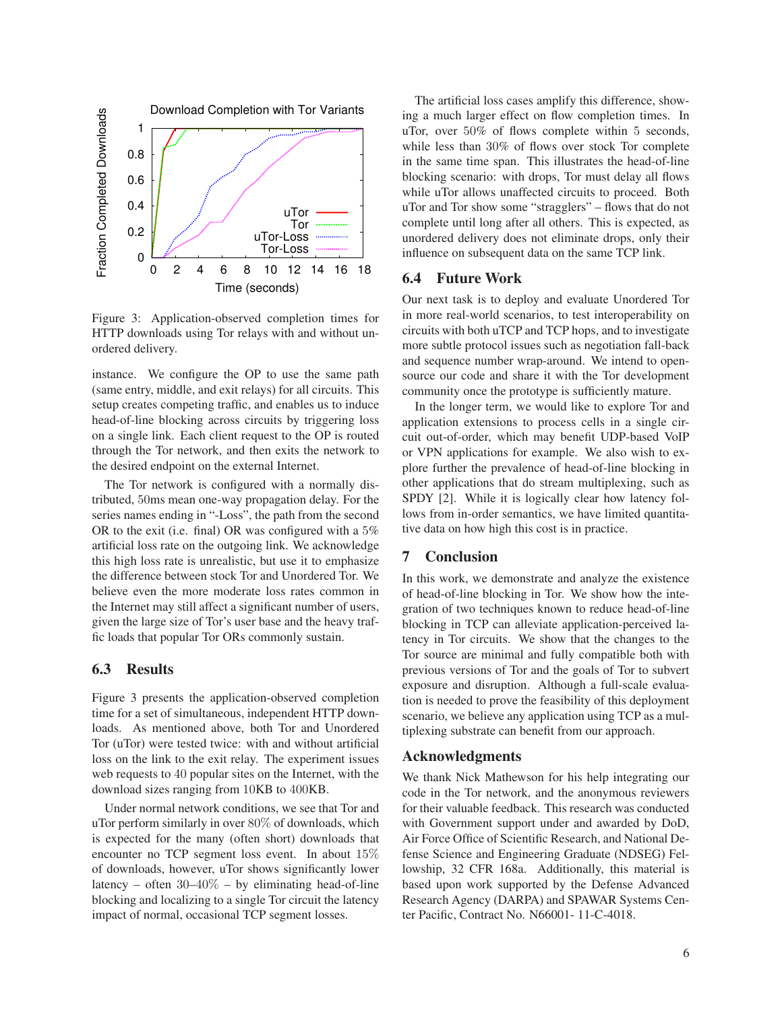

Figure 3: Application-observed completion times for HTTP downloads using Tor relays with and without unordered delivery.

instance. We configure the OP to use the same path (same entry, middle, and exit relays) for all circuits. This setup creates competing traffic, and enables us to induce head-of-line blocking across circuits by triggering loss on a single link. Each client request to the OP is routed through the Tor network, and then exits the network to the desired endpoint on the external Internet.

The Tor network is configured with a normally distributed, 50ms mean one-way propagation delay. For the series names ending in "-Loss", the path from the second OR to the exit (i.e. final) OR was configured with a 5% artificial loss rate on the outgoing link. We acknowledge this high loss rate is unrealistic, but use it to emphasize the difference between stock Tor and Unordered Tor. We believe even the more moderate loss rates common in the Internet may still affect a significant number of users, given the large size of Tor's user base and the heavy traffic loads that popular Tor ORs commonly sustain.

## 6.3 Results

Figure 3 presents the application-observed completion time for a set of simultaneous, independent HTTP downloads. As mentioned above, both Tor and Unordered Tor (uTor) were tested twice: with and without artificial loss on the link to the exit relay. The experiment issues web requests to 40 popular sites on the Internet, with the download sizes ranging from 10KB to 400KB.

Under normal network conditions, we see that Tor and uTor perform similarly in over 80% of downloads, which is expected for the many (often short) downloads that encounter no TCP segment loss event. In about 15% of downloads, however, uTor shows significantly lower latency – often  $30-40\%$  – by eliminating head-of-line blocking and localizing to a single Tor circuit the latency impact of normal, occasional TCP segment losses.

The artificial loss cases amplify this difference, showing a much larger effect on flow completion times. In uTor, over 50% of flows complete within 5 seconds, while less than 30% of flows over stock Tor complete in the same time span. This illustrates the head-of-line blocking scenario: with drops, Tor must delay all flows while uTor allows unaffected circuits to proceed. Both uTor and Tor show some "stragglers" – flows that do not complete until long after all others. This is expected, as unordered delivery does not eliminate drops, only their influence on subsequent data on the same TCP link.

## 6.4 Future Work

Our next task is to deploy and evaluate Unordered Tor in more real-world scenarios, to test interoperability on circuits with both uTCP and TCP hops, and to investigate more subtle protocol issues such as negotiation fall-back and sequence number wrap-around. We intend to opensource our code and share it with the Tor development community once the prototype is sufficiently mature.

In the longer term, we would like to explore Tor and application extensions to process cells in a single circuit out-of-order, which may benefit UDP-based VoIP or VPN applications for example. We also wish to explore further the prevalence of head-of-line blocking in other applications that do stream multiplexing, such as SPDY [2]. While it is logically clear how latency follows from in-order semantics, we have limited quantitative data on how high this cost is in practice.

## 7 Conclusion

In this work, we demonstrate and analyze the existence of head-of-line blocking in Tor. We show how the integration of two techniques known to reduce head-of-line blocking in TCP can alleviate application-perceived latency in Tor circuits. We show that the changes to the Tor source are minimal and fully compatible both with previous versions of Tor and the goals of Tor to subvert exposure and disruption. Although a full-scale evaluation is needed to prove the feasibility of this deployment scenario, we believe any application using TCP as a multiplexing substrate can benefit from our approach.

# Acknowledgments

We thank Nick Mathewson for his help integrating our code in the Tor network, and the anonymous reviewers for their valuable feedback. This research was conducted with Government support under and awarded by DoD, Air Force Office of Scientific Research, and National Defense Science and Engineering Graduate (NDSEG) Fellowship, 32 CFR 168a. Additionally, this material is based upon work supported by the Defense Advanced Research Agency (DARPA) and SPAWAR Systems Center Pacific, Contract No. N66001- 11-C-4018.